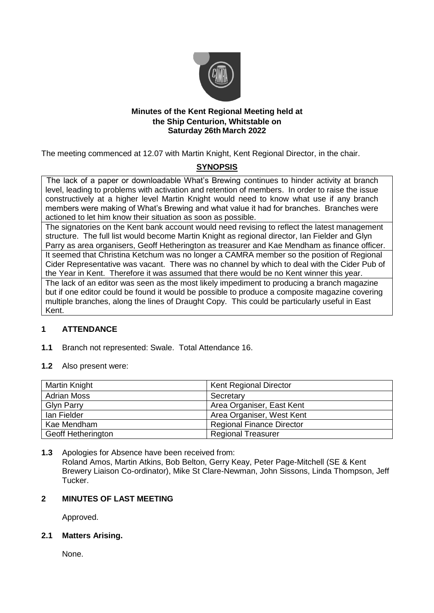

## **Minutes of the Kent Regional Meeting held at the Ship Centurion, Whitstable on Saturday 26th March 2022**

The meeting commenced at 12.07 with Martin Knight, Kent Regional Director, in the chair.

# **SYNOPSIS**

The lack of a paper or downloadable What's Brewing continues to hinder activity at branch level, leading to problems with activation and retention of members. In order to raise the issue constructively at a higher level Martin Knight would need to know what use if any branch members were making of What's Brewing and what value it had for branches. Branches were actioned to let him know their situation as soon as possible.

The signatories on the Kent bank account would need revising to reflect the latest management structure. The full list would become Martin Knight as regional director, Ian Fielder and Glyn Parry as area organisers, Geoff Hetherington as treasurer and Kae Mendham as finance officer. It seemed that Christina Ketchum was no longer a CAMRA member so the position of Regional Cider Representative was vacant. There was no channel by which to deal with the Cider Pub of the Year in Kent. Therefore it was assumed that there would be no Kent winner this year.

The lack of an editor was seen as the most likely impediment to producing a branch magazine but if one editor could be found it would be possible to produce a composite magazine covering multiple branches, along the lines of Draught Copy. This could be particularly useful in East Kent.

## **1 ATTENDANCE**

- **1.1** Branch not represented: Swale. Total Attendance 16.
- **1.2** Also present were:

| Martin Knight             | <b>Kent Regional Director</b>    |
|---------------------------|----------------------------------|
| <b>Adrian Moss</b>        | Secretary                        |
| <b>Glyn Parry</b>         | Area Organiser, East Kent        |
| lan Fielder               | Area Organiser, West Kent        |
| Kae Mendham               | <b>Regional Finance Director</b> |
| <b>Geoff Hetherington</b> | <b>Regional Treasurer</b>        |

**1.3** Apologies for Absence have been received from: Roland Amos, Martin Atkins, Bob Belton, Gerry Keay, Peter Page-Mitchell (SE & Kent Brewery Liaison Co-ordinator), Mike St Clare-Newman, John Sissons, Linda Thompson, Jeff Tucker.

## **2 MINUTES OF LAST MEETING**

Approved.

## **2.1 Matters Arising.**

None.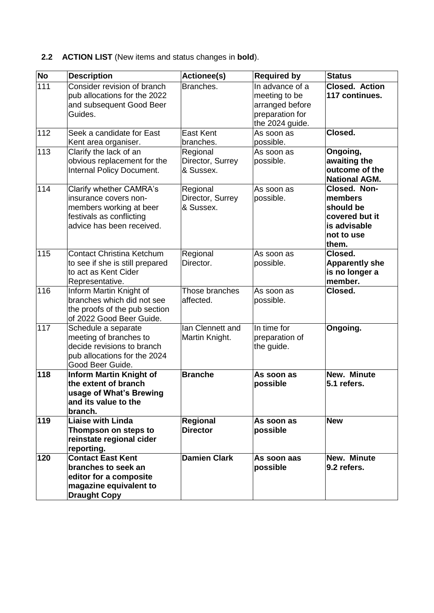# **2.2 ACTION LIST** (New items and status changes in **bold**).

| No  | <b>Description</b>                                                                                                                   | <b>Actionee(s)</b>                        | <b>Required by</b>                                                                        | <b>Status</b>                                                                                 |
|-----|--------------------------------------------------------------------------------------------------------------------------------------|-------------------------------------------|-------------------------------------------------------------------------------------------|-----------------------------------------------------------------------------------------------|
| 111 | Consider revision of branch<br>pub allocations for the 2022<br>and subsequent Good Beer<br>Guides.                                   | Branches.                                 | In advance of a<br>meeting to be<br>arranged before<br>preparation for<br>the 2024 guide. | <b>Closed. Action</b><br>117 continues.                                                       |
| 112 | Seek a candidate for East<br>Kent area organiser.                                                                                    | <b>East Kent</b><br>branches.             | As soon as<br>possible.                                                                   | Closed.                                                                                       |
| 113 | Clarify the lack of an<br>obvious replacement for the<br>Internal Policy Document.                                                   | Regional<br>Director, Surrey<br>& Sussex. | As soon as<br>possible.                                                                   | Ongoing,<br>awaiting the<br>outcome of the<br><b>National AGM.</b>                            |
| 114 | Clarify whether CAMRA's<br>insurance covers non-<br>members working at beer<br>festivals as conflicting<br>advice has been received. | Regional<br>Director, Surrey<br>& Sussex. | As soon as<br>possible.                                                                   | Closed. Non-<br>members<br>should be<br>covered but it<br>is advisable<br>not to use<br>them. |
| 115 | <b>Contact Christina Ketchum</b><br>to see if she is still prepared<br>to act as Kent Cider<br>Representative.                       | Regional<br>Director.                     | As soon as<br>possible.                                                                   | Closed.<br><b>Apparently she</b><br>is no longer a<br>member.                                 |
| 116 | Inform Martin Knight of<br>branches which did not see<br>the proofs of the pub section<br>of 2022 Good Beer Guide.                   | Those branches<br>affected.               | As soon as<br>possible.                                                                   | Closed.                                                                                       |
| 117 | Schedule a separate<br>meeting of branches to<br>decide revisions to branch<br>pub allocations for the 2024<br>Good Beer Guide.      | Ian Clennett and<br>Martin Knight.        | In time for<br>preparation of<br>the guide.                                               | Ongoing.                                                                                      |
| 118 | <b>Inform Martin Knight of</b><br>the extent of branch<br>usage of What's Brewing<br>and its value to the<br>branch.                 | <b>Branche</b>                            | As soon as<br>possible                                                                    | New. Minute<br>5.1 refers.                                                                    |
| 119 | <b>Liaise with Linda</b><br>Thompson on steps to<br>reinstate regional cider<br>reporting.                                           | Regional<br><b>Director</b>               | As soon as<br>possible                                                                    | <b>New</b>                                                                                    |
| 120 | <b>Contact East Kent</b><br>branches to seek an<br>editor for a composite<br>magazine equivalent to<br><b>Draught Copy</b>           | <b>Damien Clark</b>                       | As soon aas<br>possible                                                                   | New. Minute<br>9.2 refers.                                                                    |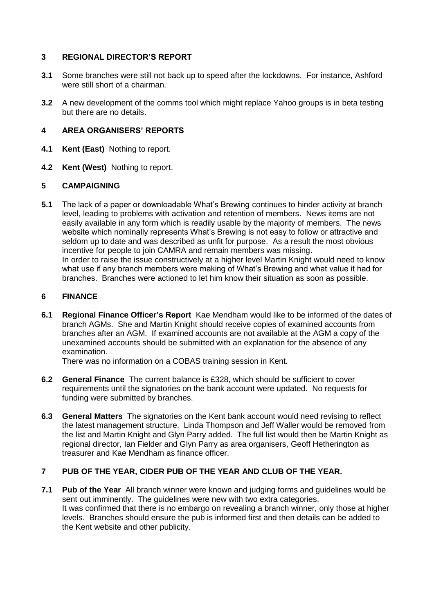## **3 REGIONAL DIRECTOR'S REPORT**

- **3.1** Some branches were still not back up to speed after the lockdowns. For instance, Ashford were still short of a chairman.
- **3.2** A new development of the comms tool which might replace Yahoo groups is in beta testing but there are no details.

## **4 AREA ORGANISERS' REPORTS**

- **4.1 Kent (East)** Nothing to report.
- **4.2 Kent (West)** Nothing to report.

## **5 CAMPAIGNING**

**5.1** The lack of a paper or downloadable What's Brewing continues to hinder activity at branch level, leading to problems with activation and retention of members. News items are not easily available in any form which is readily usable by the majority of members. The news website which nominally represents What's Brewing is not easy to follow or attractive and seldom up to date and was described as unfit for purpose. As a result the most obvious incentive for people to join CAMRA and remain members was missing. In order to raise the issue constructively at a higher level Martin Knight would need to know what use if any branch members were making of What's Brewing and what value it had for branches. Branches were actioned to let him know their situation as soon as possible.

## **6 FINANCE**

**6.1 Regional Finance Officer's Report** Kae Mendham would like to be informed of the dates of branch AGMs. She and Martin Knight should receive copies of examined accounts from branches after an AGM. If examined accounts are not available at the AGM a copy of the unexamined accounts should be submitted with an explanation for the absence of any examination.

There was no information on a COBAS training session in Kent.

- **6.2 General Finance** The current balance is £328, which should be sufficient to cover requirements until the signatories on the bank account were updated. No requests for funding were submitted by branches.
- **6.3 General Matters** The signatories on the Kent bank account would need revising to reflect the latest management structure. Linda Thompson and Jeff Waller would be removed from the list and Martin Knight and Glyn Parry added. The full list would then be Martin Knight as regional director, Ian Fielder and Glyn Parry as area organisers, Geoff Hetherington as treasurer and Kae Mendham as finance officer.

## **7 PUB OF THE YEAR, CIDER PUB OF THE YEAR AND CLUB OF THE YEAR.**

**7.1 Pub of the Year** All branch winner were known and judging forms and guidelines would be sent out imminently. The guidelines were new with two extra categories. It was confirmed that there is no embargo on revealing a branch winner, only those at higher levels. Branches should ensure the pub is informed first and then details can be added to the Kent website and other publicity.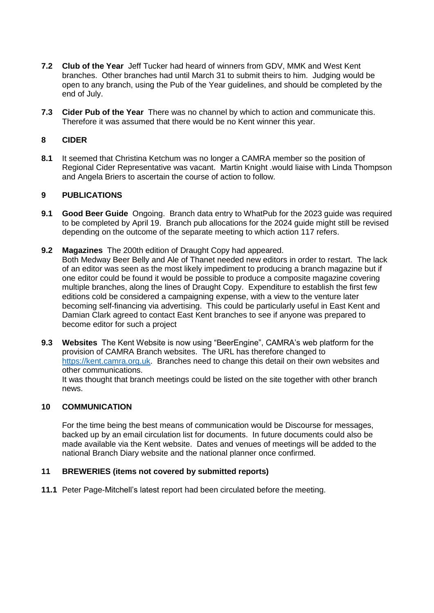- **7.2 Club of the Year** Jeff Tucker had heard of winners from GDV, MMK and West Kent branches. Other branches had until March 31 to submit theirs to him. Judging would be open to any branch, using the Pub of the Year guidelines, and should be completed by the end of July.
- **7.3 Cider Pub of the Year** There was no channel by which to action and communicate this. Therefore it was assumed that there would be no Kent winner this year.

## **8 CIDER**

**8.1** It seemed that Christina Ketchum was no longer a CAMRA member so the position of Regional Cider Representative was vacant. Martin Knight .would liaise with Linda Thompson and Angela Briers to ascertain the course of action to follow.

## **9 PUBLICATIONS**

- **9.1 Good Beer Guide** Ongoing. Branch data entry to WhatPub for the 2023 guide was required to be completed by April 19. Branch pub allocations for the 2024 guide might still be revised depending on the outcome of the separate meeting to which action 117 refers.
- **9.2 Magazines** The 200th edition of Draught Copy had appeared. Both Medway Beer Belly and Ale of Thanet needed new editors in order to restart. The lack of an editor was seen as the most likely impediment to producing a branch magazine but if one editor could be found it would be possible to produce a composite magazine covering multiple branches, along the lines of Draught Copy. Expenditure to establish the first few editions cold be considered a campaigning expense, with a view to the venture later becoming self-financing via advertising. This could be particularly useful in East Kent and Damian Clark agreed to contact East Kent branches to see if anyone was prepared to become editor for such a project
- **9.3 Websites** The Kent Website is now using "BeerEngine", CAMRA's web platform for the provision of CAMRA Branch websites. The URL has therefore changed to [https://kent.camra.org.uk.](https://kent.camra.org.uk/) Branches need to change this detail on their own websites and other communications.

It was thought that branch meetings could be listed on the site together with other branch news.

## **10 COMMUNICATION**

For the time being the best means of communication would be Discourse for messages, backed up by an email circulation list for documents. In future documents could also be made available via the Kent website. Dates and venues of meetings will be added to the national Branch Diary website and the national planner once confirmed.

## **11 BREWERIES (items not covered by submitted reports)**

**11.1** Peter Page-Mitchell's latest report had been circulated before the meeting.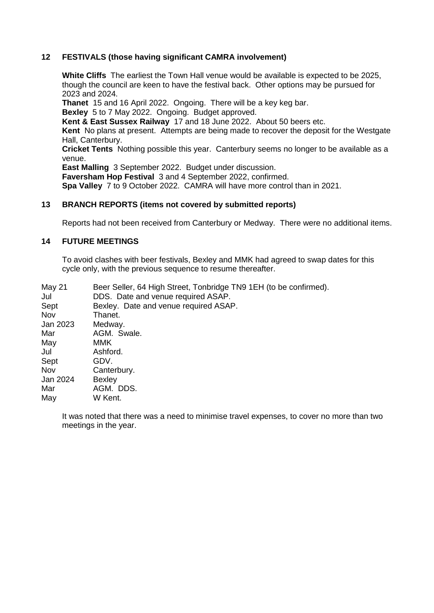## **12 FESTIVALS (those having significant CAMRA involvement)**

**White Cliffs** The earliest the Town Hall venue would be available is expected to be 2025, though the council are keen to have the festival back. Other options may be pursued for 2023 and 2024.

**Thanet** 15 and 16 April 2022. Ongoing. There will be a key keg bar.

**Bexley** 5 to 7 May 2022. Ongoing. Budget approved.

**Kent & East Sussex Railway** 17 and 18 June 2022. About 50 beers etc.

**Kent** No plans at present. Attempts are being made to recover the deposit for the Westgate Hall, Canterbury.

**Cricket Tents** Nothing possible this year. Canterbury seems no longer to be available as a venue.

**East Malling** 3 September 2022. Budget under discussion.

**Faversham Hop Festival** 3 and 4 September 2022, confirmed.

**Spa Valley** 7 to 9 October 2022. CAMRA will have more control than in 2021.

#### **13 BRANCH REPORTS (items not covered by submitted reports)**

Reports had not been received from Canterbury or Medway. There were no additional items.

## **14 FUTURE MEETINGS**

To avoid clashes with beer festivals, Bexley and MMK had agreed to swap dates for this cycle only, with the previous sequence to resume thereafter.

| <b>May 21</b> | Beer Seller, 64 High Street, Tonbridge TN9 1EH (to be confirmed). |
|---------------|-------------------------------------------------------------------|
| Jul           | DDS. Date and venue required ASAP.                                |
| Sept          | Bexley. Date and venue required ASAP.                             |
| Nov           | Thanet.                                                           |
| Jan 2023      | Medway.                                                           |
| Mar           | AGM. Swale.                                                       |
| May           | MMK                                                               |
| Jul           | Ashford.                                                          |
| Sept          | GDV.                                                              |
| Nov           | Canterbury.                                                       |
| Jan 2024      | <b>Bexley</b>                                                     |
| Mar           | AGM. DDS.                                                         |
| Mav           | W Kent.                                                           |

It was noted that there was a need to minimise travel expenses, to cover no more than two meetings in the year.